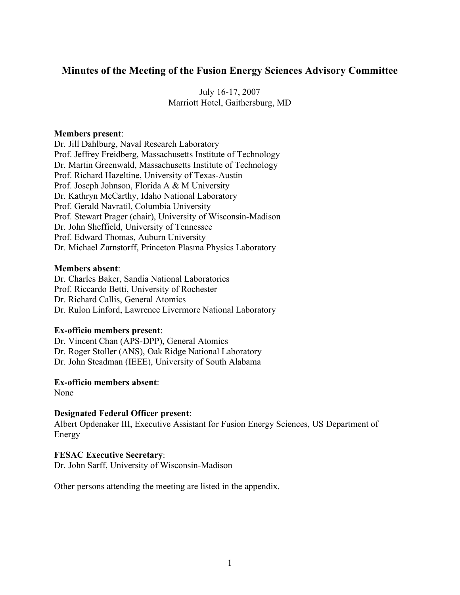# **Minutes of the Meeting of the Fusion Energy Sciences Advisory Committee**

July 16-17, 2007 Marriott Hotel, Gaithersburg, MD

#### **Members present**:

Dr. Jill Dahlburg, Naval Research Laboratory Prof. Jeffrey Freidberg, Massachusetts Institute of Technology Dr. Martin Greenwald, Massachusetts Institute of Technology Prof. Richard Hazeltine, University of Texas-Austin Prof. Joseph Johnson, Florida A & M University Dr. Kathryn McCarthy, Idaho National Laboratory Prof. Gerald Navratil, Columbia University Prof. Stewart Prager (chair), University of Wisconsin-Madison Dr. John Sheffield, University of Tennessee Prof. Edward Thomas, Auburn University Dr. Michael Zarnstorff, Princeton Plasma Physics Laboratory

#### **Members absent**:

Dr. Charles Baker, Sandia National Laboratories Prof. Riccardo Betti, University of Rochester Dr. Richard Callis, General Atomics Dr. Rulon Linford, Lawrence Livermore National Laboratory

### **Ex-officio members present**:

Dr. Vincent Chan (APS-DPP), General Atomics Dr. Roger Stoller (ANS), Oak Ridge National Laboratory Dr. John Steadman (IEEE), University of South Alabama

#### **Ex-officio members absent**:

None

# **Designated Federal Officer present**:

Albert Opdenaker III, Executive Assistant for Fusion Energy Sciences, US Department of Energy

#### **FESAC Executive Secretary**:

Dr. John Sarff, University of Wisconsin-Madison

Other persons attending the meeting are listed in the appendix.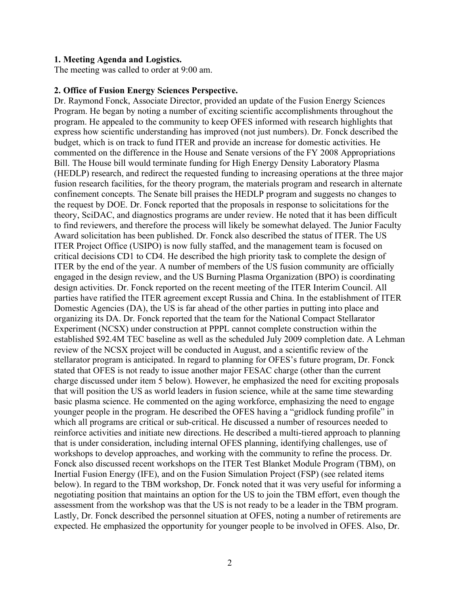#### **1. Meeting Agenda and Logistics.**

The meeting was called to order at 9:00 am.

#### **2. Office of Fusion Energy Sciences Perspective.**

Dr. Raymond Fonck, Associate Director, provided an update of the Fusion Energy Sciences Program. He began by noting a number of exciting scientific accomplishments throughout the program. He appealed to the community to keep OFES informed with research highlights that express how scientific understanding has improved (not just numbers). Dr. Fonck described the budget, which is on track to fund ITER and provide an increase for domestic activities. He commented on the difference in the House and Senate versions of the FY 2008 Appropriations Bill. The House bill would terminate funding for High Energy Density Laboratory Plasma (HEDLP) research, and redirect the requested funding to increasing operations at the three major fusion research facilities, for the theory program, the materials program and research in alternate confinement concepts. The Senate bill praises the HEDLP program and suggests no changes to the request by DOE. Dr. Fonck reported that the proposals in response to solicitations for the theory, SciDAC, and diagnostics programs are under review. He noted that it has been difficult to find reviewers, and therefore the process will likely be somewhat delayed. The Junior Faculty Award solicitation has been published. Dr. Fonck also described the status of ITER. The US ITER Project Office (USIPO) is now fully staffed, and the management team is focused on critical decisions CD1 to CD4. He described the high priority task to complete the design of ITER by the end of the year. A number of members of the US fusion community are officially engaged in the design review, and the US Burning Plasma Organization (BPO) is coordinating design activities. Dr. Fonck reported on the recent meeting of the ITER Interim Council. All parties have ratified the ITER agreement except Russia and China. In the establishment of ITER Domestic Agencies (DA), the US is far ahead of the other parties in putting into place and organizing its DA. Dr. Fonck reported that the team for the National Compact Stellarator Experiment (NCSX) under construction at PPPL cannot complete construction within the established \$92.4M TEC baseline as well as the scheduled July 2009 completion date. A Lehman review of the NCSX project will be conducted in August, and a scientific review of the stellarator program is anticipated. In regard to planning for OFES's future program, Dr. Fonck stated that OFES is not ready to issue another major FESAC charge (other than the current charge discussed under item 5 below). However, he emphasized the need for exciting proposals that will position the US as world leaders in fusion science, while at the same time stewarding basic plasma science. He commented on the aging workforce, emphasizing the need to engage younger people in the program. He described the OFES having a "gridlock funding profile" in which all programs are critical or sub-critical. He discussed a number of resources needed to reinforce activities and initiate new directions. He described a multi-tiered approach to planning that is under consideration, including internal OFES planning, identifying challenges, use of workshops to develop approaches, and working with the community to refine the process. Dr. Fonck also discussed recent workshops on the ITER Test Blanket Module Program (TBM), on Inertial Fusion Energy (IFE), and on the Fusion Simulation Project (FSP) (see related items below). In regard to the TBM workshop, Dr. Fonck noted that it was very useful for informing a negotiating position that maintains an option for the US to join the TBM effort, even though the assessment from the workshop was that the US is not ready to be a leader in the TBM program. Lastly, Dr. Fonck described the personnel situation at OFES, noting a number of retirements are expected. He emphasized the opportunity for younger people to be involved in OFES. Also, Dr.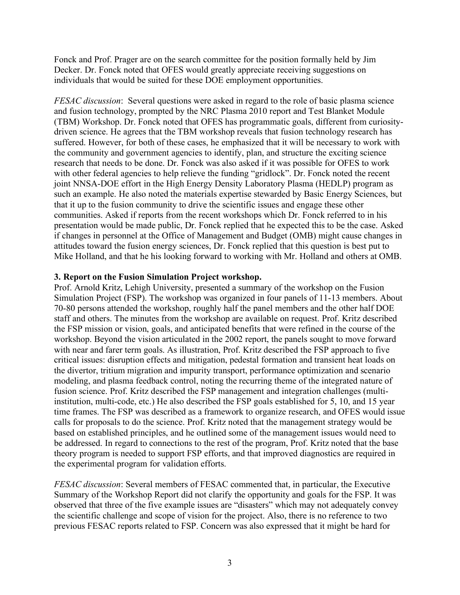Fonck and Prof. Prager are on the search committee for the position formally held by Jim Decker. Dr. Fonck noted that OFES would greatly appreciate receiving suggestions on individuals that would be suited for these DOE employment opportunities.

*FESAC discussion*: Several questions were asked in regard to the role of basic plasma science and fusion technology, prompted by the NRC Plasma 2010 report and Test Blanket Module (TBM) Workshop. Dr. Fonck noted that OFES has programmatic goals, different from curiositydriven science. He agrees that the TBM workshop reveals that fusion technology research has suffered. However, for both of these cases, he emphasized that it will be necessary to work with the community and government agencies to identify, plan, and structure the exciting science research that needs to be done. Dr. Fonck was also asked if it was possible for OFES to work with other federal agencies to help relieve the funding "gridlock". Dr. Fonck noted the recent joint NNSA-DOE effort in the High Energy Density Laboratory Plasma (HEDLP) program as such an example. He also noted the materials expertise stewarded by Basic Energy Sciences, but that it up to the fusion community to drive the scientific issues and engage these other communities. Asked if reports from the recent workshops which Dr. Fonck referred to in his presentation would be made public, Dr. Fonck replied that he expected this to be the case. Asked if changes in personnel at the Office of Management and Budget (OMB) might cause changes in attitudes toward the fusion energy sciences, Dr. Fonck replied that this question is best put to Mike Holland, and that he his looking forward to working with Mr. Holland and others at OMB.

### **3. Report on the Fusion Simulation Project workshop.**

Prof. Arnold Kritz, Lehigh University, presented a summary of the workshop on the Fusion Simulation Project (FSP). The workshop was organized in four panels of 11-13 members. About 70-80 persons attended the workshop, roughly half the panel members and the other half DOE staff and others. The minutes from the workshop are available on request. Prof. Kritz described the FSP mission or vision, goals, and anticipated benefits that were refined in the course of the workshop. Beyond the vision articulated in the 2002 report, the panels sought to move forward with near and farer term goals. As illustration, Prof. Kritz described the FSP approach to five critical issues: disruption effects and mitigation, pedestal formation and transient heat loads on the divertor, tritium migration and impurity transport, performance optimization and scenario modeling, and plasma feedback control, noting the recurring theme of the integrated nature of fusion science. Prof. Kritz described the FSP management and integration challenges (multiinstitution, multi-code, etc.) He also described the FSP goals established for 5, 10, and 15 year time frames. The FSP was described as a framework to organize research, and OFES would issue calls for proposals to do the science. Prof. Kritz noted that the management strategy would be based on established principles, and he outlined some of the management issues would need to be addressed. In regard to connections to the rest of the program, Prof. Kritz noted that the base theory program is needed to support FSP efforts, and that improved diagnostics are required in the experimental program for validation efforts.

*FESAC discussion*: Several members of FESAC commented that, in particular, the Executive Summary of the Workshop Report did not clarify the opportunity and goals for the FSP. It was observed that three of the five example issues are "disasters" which may not adequately convey the scientific challenge and scope of vision for the project. Also, there is no reference to two previous FESAC reports related to FSP. Concern was also expressed that it might be hard for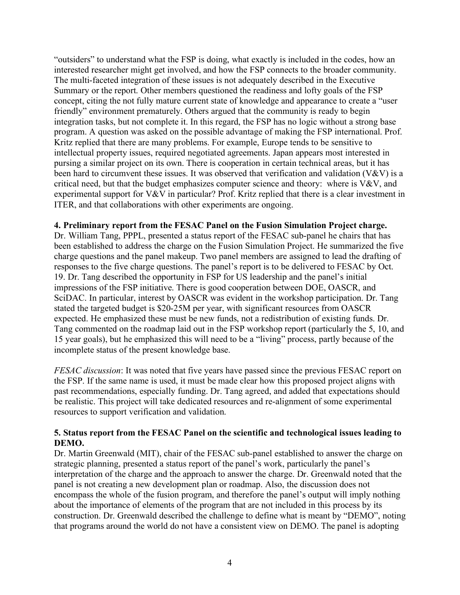"outsiders" to understand what the FSP is doing, what exactly is included in the codes, how an interested researcher might get involved, and how the FSP connects to the broader community. The multi-faceted integration of these issues is not adequately described in the Executive Summary or the report. Other members questioned the readiness and lofty goals of the FSP concept, citing the not fully mature current state of knowledge and appearance to create a "user friendly" environment prematurely. Others argued that the community is ready to begin integration tasks, but not complete it. In this regard, the FSP has no logic without a strong base program. A question was asked on the possible advantage of making the FSP international. Prof. Kritz replied that there are many problems. For example, Europe tends to be sensitive to intellectual property issues, required negotiated agreements. Japan appears most interested in pursing a similar project on its own. There is cooperation in certain technical areas, but it has been hard to circumvent these issues. It was observed that verification and validation (V&V) is a critical need, but that the budget emphasizes computer science and theory: where is  $V\&V$ , and experimental support for V&V in particular? Prof. Kritz replied that there is a clear investment in ITER, and that collaborations with other experiments are ongoing.

### **4. Preliminary report from the FESAC Panel on the Fusion Simulation Project charge.**

Dr. William Tang, PPPL, presented a status report of the FESAC sub-panel he chairs that has been established to address the charge on the Fusion Simulation Project. He summarized the five charge questions and the panel makeup. Two panel members are assigned to lead the drafting of responses to the five charge questions. The panel's report is to be delivered to FESAC by Oct. 19. Dr. Tang described the opportunity in FSP for US leadership and the panel's initial impressions of the FSP initiative. There is good cooperation between DOE, OASCR, and SciDAC. In particular, interest by OASCR was evident in the workshop participation. Dr. Tang stated the targeted budget is \$20-25M per year, with significant resources from OASCR expected. He emphasized these must be new funds, not a redistribution of existing funds. Dr. Tang commented on the roadmap laid out in the FSP workshop report (particularly the 5, 10, and 15 year goals), but he emphasized this will need to be a "living" process, partly because of the incomplete status of the present knowledge base.

*FESAC discussion*: It was noted that five years have passed since the previous FESAC report on the FSP. If the same name is used, it must be made clear how this proposed project aligns with past recommendations, especially funding. Dr. Tang agreed, and added that expectations should be realistic. This project will take dedicated resources and re-alignment of some experimental resources to support verification and validation.

### **5. Status report from the FESAC Panel on the scientific and technological issues leading to DEMO.**

Dr. Martin Greenwald (MIT), chair of the FESAC sub-panel established to answer the charge on strategic planning, presented a status report of the panel's work, particularly the panel's interpretation of the charge and the approach to answer the charge. Dr. Greenwald noted that the panel is not creating a new development plan or roadmap. Also, the discussion does not encompass the whole of the fusion program, and therefore the panel's output will imply nothing about the importance of elements of the program that are not included in this process by its construction. Dr. Greenwald described the challenge to define what is meant by "DEMO", noting that programs around the world do not have a consistent view on DEMO. The panel is adopting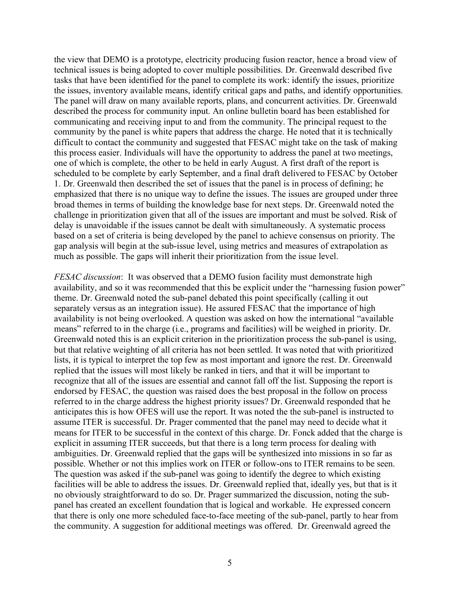the view that DEMO is a prototype, electricity producing fusion reactor, hence a broad view of technical issues is being adopted to cover multiple possibilities. Dr. Greenwald described five tasks that have been identified for the panel to complete its work: identify the issues, prioritize the issues, inventory available means, identify critical gaps and paths, and identify opportunities. The panel will draw on many available reports, plans, and concurrent activities. Dr. Greenwald described the process for community input. An online bulletin board has been established for communicating and receiving input to and from the community. The principal request to the community by the panel is white papers that address the charge. He noted that it is technically difficult to contact the community and suggested that FESAC might take on the task of making this process easier. Individuals will have the opportunity to address the panel at two meetings, one of which is complete, the other to be held in early August. A first draft of the report is scheduled to be complete by early September, and a final draft delivered to FESAC by October 1. Dr. Greenwald then described the set of issues that the panel is in process of defining; he emphasized that there is no unique way to define the issues. The issues are grouped under three broad themes in terms of building the knowledge base for next steps. Dr. Greenwald noted the challenge in prioritization given that all of the issues are important and must be solved. Risk of delay is unavoidable if the issues cannot be dealt with simultaneously. A systematic process based on a set of criteria is being developed by the panel to achieve consensus on priority. The gap analysis will begin at the sub-issue level, using metrics and measures of extrapolation as much as possible. The gaps will inherit their prioritization from the issue level.

*FESAC discussion*: It was observed that a DEMO fusion facility must demonstrate high availability, and so it was recommended that this be explicit under the "harnessing fusion power" theme. Dr. Greenwald noted the sub-panel debated this point specifically (calling it out separately versus as an integration issue). He assured FESAC that the importance of high availability is not being overlooked. A question was asked on how the international "available means" referred to in the charge (i.e., programs and facilities) will be weighed in priority. Dr. Greenwald noted this is an explicit criterion in the prioritization process the sub-panel is using, but that relative weighting of all criteria has not been settled. It was noted that with prioritized lists, it is typical to interpret the top few as most important and ignore the rest. Dr. Greenwald replied that the issues will most likely be ranked in tiers, and that it will be important to recognize that all of the issues are essential and cannot fall off the list. Supposing the report is endorsed by FESAC, the question was raised does the best proposal in the follow on process referred to in the charge address the highest priority issues? Dr. Greenwald responded that he anticipates this is how OFES will use the report. It was noted the the sub-panel is instructed to assume ITER is successful. Dr. Prager commented that the panel may need to decide what it means for ITER to be successful in the context of this charge. Dr. Fonck added that the charge is explicit in assuming ITER succeeds, but that there is a long term process for dealing with ambiguities. Dr. Greenwald replied that the gaps will be synthesized into missions in so far as possible. Whether or not this implies work on ITER or follow-ons to ITER remains to be seen. The question was asked if the sub-panel was going to identify the degree to which existing facilities will be able to address the issues. Dr. Greenwald replied that, ideally yes, but that is it no obviously straightforward to do so. Dr. Prager summarized the discussion, noting the subpanel has created an excellent foundation that is logical and workable. He expressed concern that there is only one more scheduled face-to-face meeting of the sub-panel, partly to hear from the community. A suggestion for additional meetings was offered. Dr. Greenwald agreed the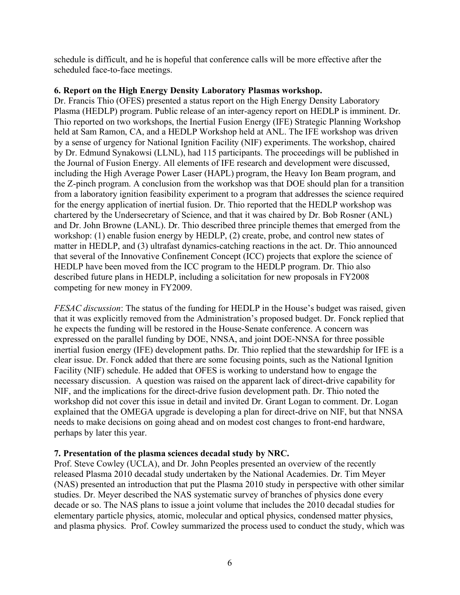schedule is difficult, and he is hopeful that conference calls will be more effective after the scheduled face-to-face meetings.

# **6. Report on the High Energy Density Laboratory Plasmas workshop.**

Dr. Francis Thio (OFES) presented a status report on the High Energy Density Laboratory Plasma (HEDLP) program. Public release of an inter-agency report on HEDLP is imminent. Dr. Thio reported on two workshops, the Inertial Fusion Energy (IFE) Strategic Planning Workshop held at Sam Ramon, CA, and a HEDLP Workshop held at ANL. The IFE workshop was driven by a sense of urgency for National Ignition Facility (NIF) experiments. The workshop, chaired by Dr. Edmund Synakowsi (LLNL), had 115 participants. The proceedings will be published in the Journal of Fusion Energy. All elements of IFE research and development were discussed, including the High Average Power Laser (HAPL) program, the Heavy Ion Beam program, and the Z-pinch program. A conclusion from the workshop was that DOE should plan for a transition from a laboratory ignition feasibility experiment to a program that addresses the science required for the energy application of inertial fusion. Dr. Thio reported that the HEDLP workshop was chartered by the Undersecretary of Science, and that it was chaired by Dr. Bob Rosner (ANL) and Dr. John Browne (LANL). Dr. Thio described three principle themes that emerged from the workshop: (1) enable fusion energy by HEDLP, (2) create, probe, and control new states of matter in HEDLP, and (3) ultrafast dynamics-catching reactions in the act. Dr. Thio announced that several of the Innovative Confinement Concept (ICC) projects that explore the science of HEDLP have been moved from the ICC program to the HEDLP program. Dr. Thio also described future plans in HEDLP, including a solicitation for new proposals in FY2008 competing for new money in FY2009.

*FESAC discussion*: The status of the funding for HEDLP in the House's budget was raised, given that it was explicitly removed from the Administration's proposed budget. Dr. Fonck replied that he expects the funding will be restored in the House-Senate conference. A concern was expressed on the parallel funding by DOE, NNSA, and joint DOE-NNSA for three possible inertial fusion energy (IFE) development paths. Dr. Thio replied that the stewardship for IFE is a clear issue. Dr. Fonck added that there are some focusing points, such as the National Ignition Facility (NIF) schedule. He added that OFES is working to understand how to engage the necessary discussion. A question was raised on the apparent lack of direct-drive capability for NIF, and the implications for the direct-drive fusion development path. Dr. Thio noted the workshop did not cover this issue in detail and invited Dr. Grant Logan to comment. Dr. Logan explained that the OMEGA upgrade is developing a plan for direct-drive on NIF, but that NNSA needs to make decisions on going ahead and on modest cost changes to front-end hardware, perhaps by later this year.

# **7. Presentation of the plasma sciences decadal study by NRC.**

Prof. Steve Cowley (UCLA), and Dr. John Peoples presented an overview of the recently released Plasma 2010 decadal study undertaken by the National Academies. Dr. Tim Meyer (NAS) presented an introduction that put the Plasma 2010 study in perspective with other similar studies. Dr. Meyer described the NAS systematic survey of branches of physics done every decade or so. The NAS plans to issue a joint volume that includes the 2010 decadal studies for elementary particle physics, atomic, molecular and optical physics, condensed matter physics, and plasma physics. Prof. Cowley summarized the process used to conduct the study, which was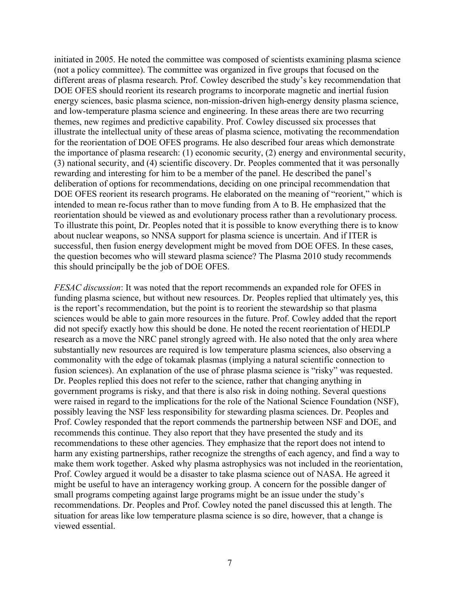initiated in 2005. He noted the committee was composed of scientists examining plasma science (not a policy committee). The committee was organized in five groups that focused on the different areas of plasma research. Prof. Cowley described the study's key recommendation that DOE OFES should reorient its research programs to incorporate magnetic and inertial fusion energy sciences, basic plasma science, non-mission-driven high-energy density plasma science, and low-temperature plasma science and engineering. In these areas there are two recurring themes, new regimes and predictive capability. Prof. Cowley discussed six processes that illustrate the intellectual unity of these areas of plasma science, motivating the recommendation for the reorientation of DOE OFES programs. He also described four areas which demonstrate the importance of plasma research: (1) economic security, (2) energy and environmental security, (3) national security, and (4) scientific discovery. Dr. Peoples commented that it was personally rewarding and interesting for him to be a member of the panel. He described the panel's deliberation of options for recommendations, deciding on one principal recommendation that DOE OFES reorient its research programs. He elaborated on the meaning of "reorient," which is intended to mean re-focus rather than to move funding from A to B. He emphasized that the reorientation should be viewed as and evolutionary process rather than a revolutionary process. To illustrate this point, Dr. Peoples noted that it is possible to know everything there is to know about nuclear weapons, so NNSA support for plasma science is uncertain. And if ITER is successful, then fusion energy development might be moved from DOE OFES. In these cases, the question becomes who will steward plasma science? The Plasma 2010 study recommends this should principally be the job of DOE OFES.

*FESAC discussion*: It was noted that the report recommends an expanded role for OFES in funding plasma science, but without new resources. Dr. Peoples replied that ultimately yes, this is the report's recommendation, but the point is to reorient the stewardship so that plasma sciences would be able to gain more resources in the future. Prof. Cowley added that the report did not specify exactly how this should be done. He noted the recent reorientation of HEDLP research as a move the NRC panel strongly agreed with. He also noted that the only area where substantially new resources are required is low temperature plasma sciences, also observing a commonality with the edge of tokamak plasmas (implying a natural scientific connection to fusion sciences). An explanation of the use of phrase plasma science is "risky" was requested. Dr. Peoples replied this does not refer to the science, rather that changing anything in government programs is risky, and that there is also risk in doing nothing. Several questions were raised in regard to the implications for the role of the National Science Foundation (NSF), possibly leaving the NSF less responsibility for stewarding plasma sciences. Dr. Peoples and Prof. Cowley responded that the report commends the partnership between NSF and DOE, and recommends this continue. They also report that they have presented the study and its recommendations to these other agencies. They emphasize that the report does not intend to harm any existing partnerships, rather recognize the strengths of each agency, and find a way to make them work together. Asked why plasma astrophysics was not included in the reorientation, Prof. Cowley argued it would be a disaster to take plasma science out of NASA. He agreed it might be useful to have an interagency working group. A concern for the possible danger of small programs competing against large programs might be an issue under the study's recommendations. Dr. Peoples and Prof. Cowley noted the panel discussed this at length. The situation for areas like low temperature plasma science is so dire, however, that a change is viewed essential.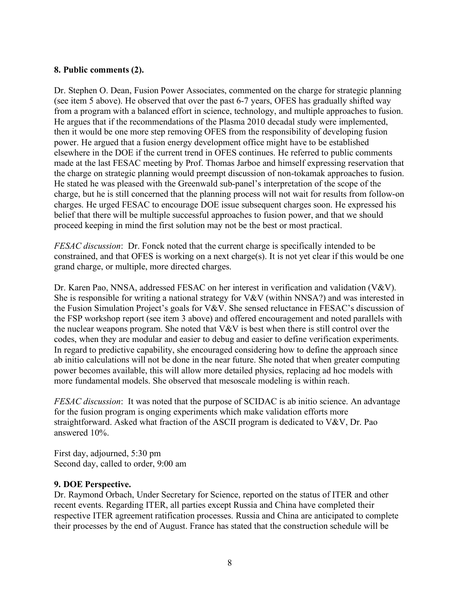# **8. Public comments (2).**

Dr. Stephen O. Dean, Fusion Power Associates, commented on the charge for strategic planning (see item 5 above). He observed that over the past 6-7 years, OFES has gradually shifted way from a program with a balanced effort in science, technology, and multiple approaches to fusion. He argues that if the recommendations of the Plasma 2010 decadal study were implemented, then it would be one more step removing OFES from the responsibility of developing fusion power. He argued that a fusion energy development office might have to be established elsewhere in the DOE if the current trend in OFES continues. He referred to public comments made at the last FESAC meeting by Prof. Thomas Jarboe and himself expressing reservation that the charge on strategic planning would preempt discussion of non-tokamak approaches to fusion. He stated he was pleased with the Greenwald sub-panel's interpretation of the scope of the charge, but he is still concerned that the planning process will not wait for results from follow-on charges. He urged FESAC to encourage DOE issue subsequent charges soon. He expressed his belief that there will be multiple successful approaches to fusion power, and that we should proceed keeping in mind the first solution may not be the best or most practical.

*FESAC discussion*: Dr. Fonck noted that the current charge is specifically intended to be constrained, and that OFES is working on a next charge(s). It is not yet clear if this would be one grand charge, or multiple, more directed charges.

Dr. Karen Pao, NNSA, addressed FESAC on her interest in verification and validation (V&V). She is responsible for writing a national strategy for V&V (within NNSA?) and was interested in the Fusion Simulation Project's goals for V&V. She sensed reluctance in FESAC's discussion of the FSP workshop report (see item 3 above) and offered encouragement and noted parallels with the nuclear weapons program. She noted that V&V is best when there is still control over the codes, when they are modular and easier to debug and easier to define verification experiments. In regard to predictive capability, she encouraged considering how to define the approach since ab initio calculations will not be done in the near future. She noted that when greater computing power becomes available, this will allow more detailed physics, replacing ad hoc models with more fundamental models. She observed that mesoscale modeling is within reach.

*FESAC discussion*: It was noted that the purpose of SCIDAC is ab initio science. An advantage for the fusion program is onging experiments which make validation efforts more straightforward. Asked what fraction of the ASCII program is dedicated to V&V, Dr. Pao answered 10%.

First day, adjourned, 5:30 pm Second day, called to order, 9:00 am

### **9. DOE Perspective.**

Dr. Raymond Orbach, Under Secretary for Science, reported on the status of ITER and other recent events. Regarding ITER, all parties except Russia and China have completed their respective ITER agreement ratification processes. Russia and China are anticipated to complete their processes by the end of August. France has stated that the construction schedule will be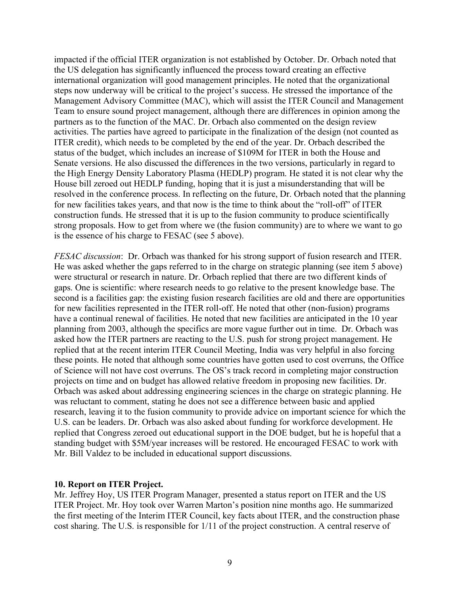impacted if the official ITER organization is not established by October. Dr. Orbach noted that the US delegation has significantly influenced the process toward creating an effective international organization will good management principles. He noted that the organizational steps now underway will be critical to the project's success. He stressed the importance of the Management Advisory Committee (MAC), which will assist the ITER Council and Management Team to ensure sound project management, although there are differences in opinion among the partners as to the function of the MAC. Dr. Orbach also commented on the design review activities. The parties have agreed to participate in the finalization of the design (not counted as ITER credit), which needs to be completed by the end of the year. Dr. Orbach described the status of the budget, which includes an increase of \$109M for ITER in both the House and Senate versions. He also discussed the differences in the two versions, particularly in regard to the High Energy Density Laboratory Plasma (HEDLP) program. He stated it is not clear why the House bill zeroed out HEDLP funding, hoping that it is just a misunderstanding that will be resolved in the conference process. In reflecting on the future, Dr. Orbach noted that the planning for new facilities takes years, and that now is the time to think about the "roll-off" of ITER construction funds. He stressed that it is up to the fusion community to produce scientifically strong proposals. How to get from where we (the fusion community) are to where we want to go is the essence of his charge to FESAC (see 5 above).

*FESAC discussion*: Dr. Orbach was thanked for his strong support of fusion research and ITER. He was asked whether the gaps referred to in the charge on strategic planning (see item 5 above) were structural or research in nature. Dr. Orbach replied that there are two different kinds of gaps. One is scientific: where research needs to go relative to the present knowledge base. The second is a facilities gap: the existing fusion research facilities are old and there are opportunities for new facilities represented in the ITER roll-off. He noted that other (non-fusion) programs have a continual renewal of facilities. He noted that new facilities are anticipated in the 10 year planning from 2003, although the specifics are more vague further out in time. Dr. Orbach was asked how the ITER partners are reacting to the U.S. push for strong project management. He replied that at the recent interim ITER Council Meeting, India was very helpful in also forcing these points. He noted that although some countries have gotten used to cost overruns, the Office of Science will not have cost overruns. The OS's track record in completing major construction projects on time and on budget has allowed relative freedom in proposing new facilities. Dr. Orbach was asked about addressing engineering sciences in the charge on strategic planning. He was reluctant to comment, stating he does not see a difference between basic and applied research, leaving it to the fusion community to provide advice on important science for which the U.S. can be leaders. Dr. Orbach was also asked about funding for workforce development. He replied that Congress zeroed out educational support in the DOE budget, but he is hopeful that a standing budget with \$5M/year increases will be restored. He encouraged FESAC to work with Mr. Bill Valdez to be included in educational support discussions.

### **10. Report on ITER Project.**

Mr. Jeffrey Hoy, US ITER Program Manager, presented a status report on ITER and the US ITER Project. Mr. Hoy took over Warren Marton's position nine months ago. He summarized the first meeting of the Interim ITER Council, key facts about ITER, and the construction phase cost sharing. The U.S. is responsible for 1/11 of the project construction. A central reserve of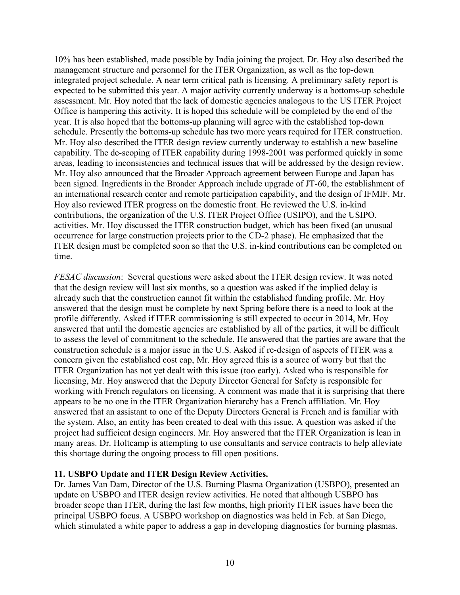10% has been established, made possible by India joining the project. Dr. Hoy also described the management structure and personnel for the ITER Organization, as well as the top-down integrated project schedule. A near term critical path is licensing. A preliminary safety report is expected to be submitted this year. A major activity currently underway is a bottoms-up schedule assessment. Mr. Hoy noted that the lack of domestic agencies analogous to the US ITER Project Office is hampering this activity. It is hoped this schedule will be completed by the end of the year. It is also hoped that the bottoms-up planning will agree with the established top-down schedule. Presently the bottoms-up schedule has two more years required for ITER construction. Mr. Hoy also described the ITER design review currently underway to establish a new baseline capability. The de-scoping of ITER capability during 1998-2001 was performed quickly in some areas, leading to inconsistencies and technical issues that will be addressed by the design review. Mr. Hoy also announced that the Broader Approach agreement between Europe and Japan has been signed. Ingredients in the Broader Approach include upgrade of JT-60, the establishment of an international research center and remote participation capability, and the design of IFMIF. Mr. Hoy also reviewed ITER progress on the domestic front. He reviewed the U.S. in-kind contributions, the organization of the U.S. ITER Project Office (USIPO), and the USIPO. activities. Mr. Hoy discussed the ITER construction budget, which has been fixed (an unusual occurrence for large construction projects prior to the CD-2 phase). He emphasized that the ITER design must be completed soon so that the U.S. in-kind contributions can be completed on time.

*FESAC discussion*: Several questions were asked about the ITER design review. It was noted that the design review will last six months, so a question was asked if the implied delay is already such that the construction cannot fit within the established funding profile. Mr. Hoy answered that the design must be complete by next Spring before there is a need to look at the profile differently. Asked if ITER commissioning is still expected to occur in 2014, Mr. Hoy answered that until the domestic agencies are established by all of the parties, it will be difficult to assess the level of commitment to the schedule. He answered that the parties are aware that the construction schedule is a major issue in the U.S. Asked if re-design of aspects of ITER was a concern given the established cost cap, Mr. Hoy agreed this is a source of worry but that the ITER Organization has not yet dealt with this issue (too early). Asked who is responsible for licensing, Mr. Hoy answered that the Deputy Director General for Safety is responsible for working with French regulators on licensing. A comment was made that it is surprising that there appears to be no one in the ITER Organization hierarchy has a French affiliation. Mr. Hoy answered that an assistant to one of the Deputy Directors General is French and is familiar with the system. Also, an entity has been created to deal with this issue. A question was asked if the project had sufficient design engineers. Mr. Hoy answered that the ITER Organization is lean in many areas. Dr. Holtcamp is attempting to use consultants and service contracts to help alleviate this shortage during the ongoing process to fill open positions.

# **11. USBPO Update and ITER Design Review Activities.**

Dr. James Van Dam, Director of the U.S. Burning Plasma Organization (USBPO), presented an update on USBPO and ITER design review activities. He noted that although USBPO has broader scope than ITER, during the last few months, high priority ITER issues have been the principal USBPO focus. A USBPO workshop on diagnostics was held in Feb. at San Diego, which stimulated a white paper to address a gap in developing diagnostics for burning plasmas.